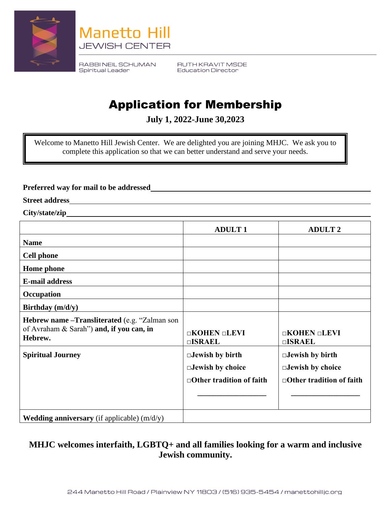



RABBINEIL SCHUMAN Spiritual Leader

RUTH KRAVIT MSDE **Education Director** 

## Application for Membership

**July 1, 2022-June 30,2023**

Welcome to Manetto Hill Jewish Center. We are delighted you are joining MHJC. We ask you to complete this application so that we can better understand and serve your needs.

**Preferred way for mail to be addressed**

**Street address**

**City/state/zip**

|                                                                                                       | <b>ADULT1</b>                                                                        | <b>ADULT 2</b>                                                                       |
|-------------------------------------------------------------------------------------------------------|--------------------------------------------------------------------------------------|--------------------------------------------------------------------------------------|
| <b>Name</b>                                                                                           |                                                                                      |                                                                                      |
| <b>Cell phone</b>                                                                                     |                                                                                      |                                                                                      |
| <b>Home</b> phone                                                                                     |                                                                                      |                                                                                      |
| <b>E-mail address</b>                                                                                 |                                                                                      |                                                                                      |
| Occupation                                                                                            |                                                                                      |                                                                                      |
| Birthday $(m/d/y)$                                                                                    |                                                                                      |                                                                                      |
| Hebrew name - Transliterated (e.g. "Zalman son<br>of Avraham & Sarah") and, if you can, in<br>Hebrew. | $\Box$ KOHEN $\Box$ LEVI<br>$\square$ <b><i>SRAEL</i></b>                            | $\Box$ KOHEN $\Box$ LEVI<br>$\square$ <b><i>SRAEL</i></b>                            |
| <b>Spiritual Journey</b>                                                                              | $\Box$ Jewish by birth<br>$\Box$ Jewish by choice<br>$\Box$ Other tradition of faith | $\Box$ Jewish by birth<br>$\Box$ Jewish by choice<br>$\Box$ Other tradition of faith |
| <b>Wedding anniversary</b> (if applicable) $(m/d/y)$                                                  |                                                                                      |                                                                                      |

## **MHJC welcomes interfaith, LGBTQ+ and all families looking for a warm and inclusive Jewish community.**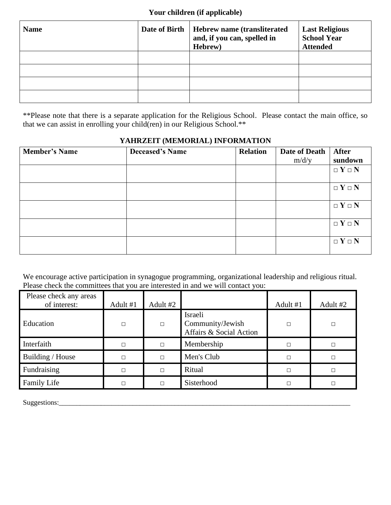| <b>Name</b> | Date of Birth | <b>Hebrew name (transliterated)</b><br>and, if you can, spelled in<br>Hebrew) | <b>Last Religious</b><br><b>School Year</b><br><b>Attended</b> |
|-------------|---------------|-------------------------------------------------------------------------------|----------------------------------------------------------------|
|             |               |                                                                               |                                                                |
|             |               |                                                                               |                                                                |
|             |               |                                                                               |                                                                |
|             |               |                                                                               |                                                                |

\*\*Please note that there is a separate application for the Religious School. Please contact the main office, so that we can assist in enrolling your child(ren) in our Religious School.\*\*

## **YAHRZEIT (MEMORIAL) INFORMATION**

| <b>Member's Name</b> | <b>Deceased's Name</b> | <b>Relation</b> | Date of Death | <b>After</b>    |
|----------------------|------------------------|-----------------|---------------|-----------------|
|                      |                        |                 | m/d/y         | sundown         |
|                      |                        |                 |               | $\Box Y \Box N$ |
|                      |                        |                 |               |                 |
|                      |                        |                 |               | $\Box Y \Box N$ |
|                      |                        |                 |               |                 |
|                      |                        |                 |               | $\Box Y \Box N$ |
|                      |                        |                 |               |                 |
|                      |                        |                 |               | $\Box Y \Box N$ |
|                      |                        |                 |               |                 |
|                      |                        |                 |               | $\Box Y \Box N$ |
|                      |                        |                 |               |                 |

We encourage active participation in synagogue programming, organizational leadership and religious ritual. Please check the committees that you are interested in and we will contact you:

| Please check any areas<br>of interest: | Adult #1 | Adult #2 |                                                        | Adult #1 | Adult #2 |
|----------------------------------------|----------|----------|--------------------------------------------------------|----------|----------|
| Education                              | $\Box$   | $\Box$   | Israeli<br>Community/Jewish<br>Affairs & Social Action | П        | $\Box$   |
| Interfaith                             | П        | $\Box$   | Membership                                             | п        | П        |
| Building / House                       | П        | П        | Men's Club                                             | п        | П        |
| Fundraising                            | П        | П        | Ritual                                                 | п        | П        |
| Family Life                            |          | П        | Sisterhood                                             | п        |          |

Suggestions:\_\_\_\_\_\_\_\_\_\_\_\_\_\_\_\_\_\_\_\_\_\_\_\_\_\_\_\_\_\_\_\_\_\_\_\_\_\_\_\_\_\_\_\_\_\_\_\_\_\_\_\_\_\_\_\_\_\_\_\_\_\_\_\_\_\_\_\_\_\_\_\_\_\_\_\_\_\_\_\_\_\_\_